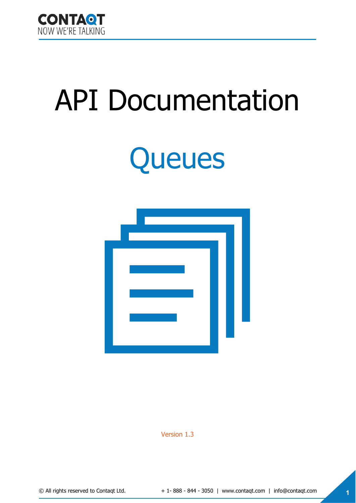

## API Documentation

# **Queues**



Version 1.3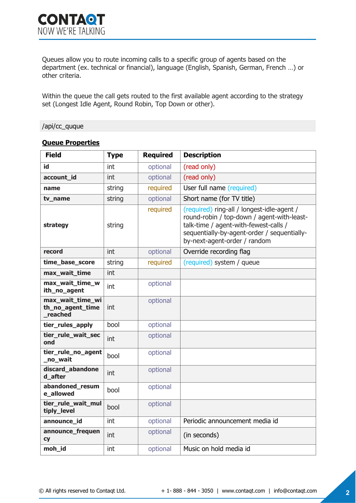Queues allow you to route incoming calls to a specific group of agents based on the department (ex. technical or financial), language (English, Spanish, German, French …) or other criteria.

Within the queue the call gets routed to the first available agent according to the strategy set (Longest Idle Agent, Round Robin, Top Down or other).

#### /api/cc\_quque

| <b>Field</b>                                    | <b>Type</b> | <b>Required</b> | <b>Description</b>                                                                                                                                                                                               |
|-------------------------------------------------|-------------|-----------------|------------------------------------------------------------------------------------------------------------------------------------------------------------------------------------------------------------------|
| id                                              | int         | optional        | (read only)                                                                                                                                                                                                      |
| account_id                                      | int         | optional        | (read only)                                                                                                                                                                                                      |
| name                                            | string      | required        | User full name (required)                                                                                                                                                                                        |
| tv_name                                         | string      | optional        | Short name (for TV title)                                                                                                                                                                                        |
| strategy                                        | string      | required        | (required) ring-all / longest-idle-agent /<br>round-robin / top-down / agent-with-least-<br>talk-time / agent-with-fewest-calls /<br>sequentially-by-agent-order / sequentially-<br>by-next-agent-order / random |
| record                                          | int         | optional        | Override recording flag                                                                                                                                                                                          |
| time_base_score                                 | string      | required        | (required) system / queue                                                                                                                                                                                        |
| max_wait_time                                   | int         |                 |                                                                                                                                                                                                                  |
| max wait time w<br>ith no agent                 | int         | optional        |                                                                                                                                                                                                                  |
| max_wait_time_wi<br>th_no_agent_time<br>reached | int         | optional        |                                                                                                                                                                                                                  |
| tier_rules_apply                                | bool        | optional        |                                                                                                                                                                                                                  |
| tier rule wait sec<br>ond                       | int         | optional        |                                                                                                                                                                                                                  |
| tier_rule_no_agent<br>no wait                   | bool        | optional        |                                                                                                                                                                                                                  |
| discard_abandone<br>d after                     | int         | optional        |                                                                                                                                                                                                                  |
| abandoned resum<br>e allowed                    | bool        | optional        |                                                                                                                                                                                                                  |
| tier_rule_wait_mul<br>tiply_level               | bool        | optional        |                                                                                                                                                                                                                  |
| announce_id                                     | int         | optional        | Periodic announcement media id                                                                                                                                                                                   |
| announce_frequen<br><b>CY</b>                   | int         | optional        | (in seconds)                                                                                                                                                                                                     |
| moh id                                          | int         | optional        | Music on hold media id                                                                                                                                                                                           |

#### **Queue Properties**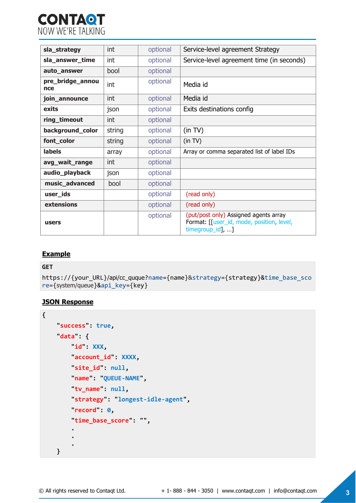

| sla_strategy            | int    | optional | Service-level agreement Strategy                                                                                |
|-------------------------|--------|----------|-----------------------------------------------------------------------------------------------------------------|
| sla_answer_time         | int    | optional | Service-level agreement time (in seconds)                                                                       |
| auto_answer             | bool   | optional |                                                                                                                 |
| pre_bridge_annou<br>nce | int    | optional | Media id                                                                                                        |
| join_announce           | int    | optional | Media id                                                                                                        |
| exits                   | json   | optional | Exits destinations config                                                                                       |
| ring_timeout            | int    | optional |                                                                                                                 |
| background_color        | string | optional | (in TV)                                                                                                         |
| font_color              | string | optional | (in TV)                                                                                                         |
| labels                  | array  | optional | Array or comma separated list of label IDs                                                                      |
| avg_wait_range          | int    | optional |                                                                                                                 |
| audio_playback          | json   | optional |                                                                                                                 |
| music_advanced          | bool   | optional |                                                                                                                 |
| user_ids                |        | optional | (read only)                                                                                                     |
| extensions              |        | optional | (read only)                                                                                                     |
| users                   |        | optional | (put/post only) Assigned agents array<br>Format: [[user_id, mode, position, level,<br>$timegroup_id], \ldots$ ] |

#### **Example**

#### **GET**

```
https://{your_URL}/api/cc_quque?name={name}&strategy={strategy}&time_base_sco
re={system/queue}&api_key={key}
```
#### **JSON Response**

```
{
     "success": true, 
     "data": {
        id": XXX,
         "account_id": XXXX, 
        \text{site_id}: \text{null}, "name": "QUEUE-NAME", 
         "tv_name": null, 
         "strategy": "longest-idle-agent", 
         "record": 0, 
         "time_base_score": "", 
 . 
 . 
 . 
     }
```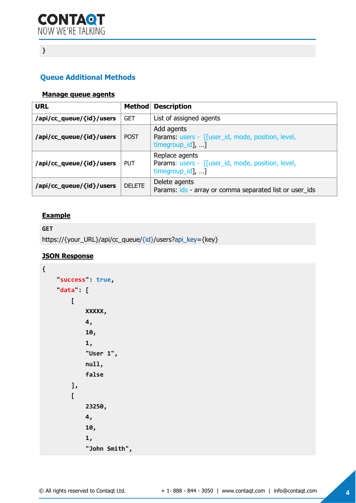## **}**

### **Queue Additional Methods**

#### **Manage queue agents**

| <b>URL</b>               |               | <b>Method Description</b>                                                               |  |
|--------------------------|---------------|-----------------------------------------------------------------------------------------|--|
| /api/cc_queue/{id}/users | <b>GET</b>    | List of assigned agents                                                                 |  |
| /api/cc_queue/{id}/users | <b>POST</b>   | Add agents<br>Params: users - [[user_id, mode, position, level,<br>timegroup_id], ]     |  |
| /api/cc_queue/{id}/users | <b>PUT</b>    | Replace agents<br>Params: users - [[user_id, mode, position, level,<br>timegroup_id], ] |  |
| /api/cc_queue/{id}/users | <b>DELETE</b> | Delete agents<br>Params: ids - array or comma separated list or user_ids                |  |

#### **Example**

```
GET 
https://{your_URL}/api/cc_queue/{id}/users?api_key={key}
```
#### **JSON Response**

```
{
      "success": true, 
      "data": [
           [
                 XXXXX, 
                 4, 
                 10, 
                 1, 
                 "User 1", 
                 null, 
                 false
            ], 
            [
                 23250, 
                 4, 
                 10, 
                 1, 
                 "John Smith",
```